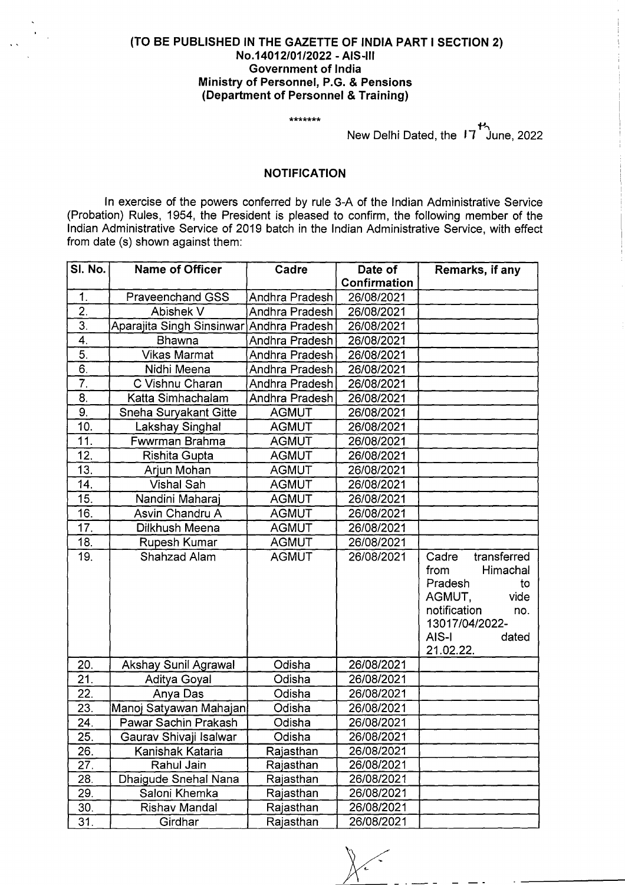## **(TO BE PUBLISHED IN THE GAZETTE OF INDIA PART I SECTION 2) No.14012/01/2022** - **AIS-Ill Government of India Ministry of Personnel, P.G. & Pensions (Department of Personnel** & **Training)**

\*\*\*\*\*\*\*

New Delhi Dated, the 17<sup>th</sup> June, 2022

## **NOTIFICATION**

In exercise of the powers conferred by rule 3-A of the Indian Administrative Service (Probation) Rules, 1954, the President is pleased to confirm, the following member of the Indian Administrative Service of 2019 batch in the Indian Administrative Service, with effect from date (s) shown against them:

| SI. No.                  | <b>Name of Officer</b>                         | Cadre            | Date of      | Remarks, if any      |
|--------------------------|------------------------------------------------|------------------|--------------|----------------------|
|                          |                                                |                  | Confirmation |                      |
| 1.                       | Praveenchand GSS                               | Andhra Pradesh   | 26/08/2021   |                      |
| $\overline{2}$ .         | Abishek V                                      | Andhra Pradesh   | 26/08/2021   |                      |
| $\overline{3}$ .         | Aparajita Singh Sinsinwar                      | Andhra Pradesh   | 26/08/2021   |                      |
| 4.                       | <b>Bhawna</b>                                  | Andhra Pradesh   | 26/08/2021   |                      |
| $\overline{5}$ .         | <b>Vikas Marmat</b>                            | Andhra Pradesh   | 26/08/2021   |                      |
| 6.                       | Nidhi Meena                                    | Andhra Pradesh   | 26/08/2021   |                      |
| $\overline{7}$ .         | C Vishnu Charan                                | Andhra Pradesh   | 26/08/2021   |                      |
| 8.                       | Katta Simhachalam                              | Andhra Pradesh   | 26/08/2021   |                      |
| 9.                       | Sneha Suryakant Gitte                          | <b>AGMUT</b>     | 26/08/2021   |                      |
| 10.                      | Lakshay Singhal                                | <b>AGMUT</b>     | 26/08/2021   |                      |
| 11.                      | Fwwrman Brahma                                 | <b>AGMUT</b>     | 26/08/2021   |                      |
| 12.                      | Rishita Gupta                                  | <b>AGMUT</b>     | 26/08/2021   |                      |
| 13.                      | Arjun Mohan                                    | <b>AGMUT</b>     | 26/08/2021   |                      |
| 14.                      | <b>Vishal Sah</b>                              | <b>AGMUT</b>     | 26/08/2021   |                      |
| 15.                      | Nandini Maharaj                                | <b>AGMUT</b>     | 26/08/2021   |                      |
| 16.                      | Asvin Chandru A                                | <b>AGMUT</b>     | 26/08/2021   |                      |
| 17.                      | Dilkhush Meena                                 | <b>AGMUT</b>     | 26/08/2021   |                      |
| 18.                      | Rupesh Kumar                                   | <b>AGMUT</b>     | 26/08/2021   |                      |
| 19.                      | Shahzad Alam                                   | <b>AGMUT</b>     | 26/08/2021   | transferred<br>Cadre |
|                          |                                                |                  |              | Himachal<br>from     |
|                          |                                                |                  |              | Pradesh<br>to        |
|                          |                                                |                  |              | vide<br>AGMUT,       |
|                          |                                                |                  |              | notification<br>no.  |
|                          |                                                |                  |              | 13017/04/2022-       |
|                          |                                                |                  |              | AIS-I<br>dated       |
|                          |                                                |                  | 26/08/2021   | 21.02.22.            |
| 20.<br>$\overline{21}$ . | Akshay Sunil Agrawal                           | Odisha<br>Odisha | 26/08/2021   |                      |
| 22.                      | Aditya Goyal                                   | Odisha           | 26/08/2021   |                      |
| 23.                      | Anya Das                                       | Odisha           |              |                      |
| 24.                      | Manoj Satyawan Mahajan<br>Pawar Sachin Prakash |                  | 26/08/2021   |                      |
|                          |                                                | Odisha           | 26/08/2021   |                      |
| $\overline{25}$ .        | Gaurav Shivaji Isalwar                         | Odisha           | 26/08/2021   |                      |
| 26.                      | Kanishak Kataria<br>Rahul Jain                 | Rajasthan        | 26/08/2021   |                      |
| 27.<br>28.               |                                                | Rajasthan        | 26/08/2021   |                      |
|                          | Dhaigude Snehal Nana                           | Rajasthan        | 26/08/2021   |                      |
| 29.                      | Saloni Khemka                                  | Rajasthan        | 26/08/2021   |                      |
| 30.                      | Rishav Mandal                                  | Rajasthan        | 26/08/2021   |                      |
| 31.                      | Girdhar                                        | Rajasthan        | 26/08/2021   |                      |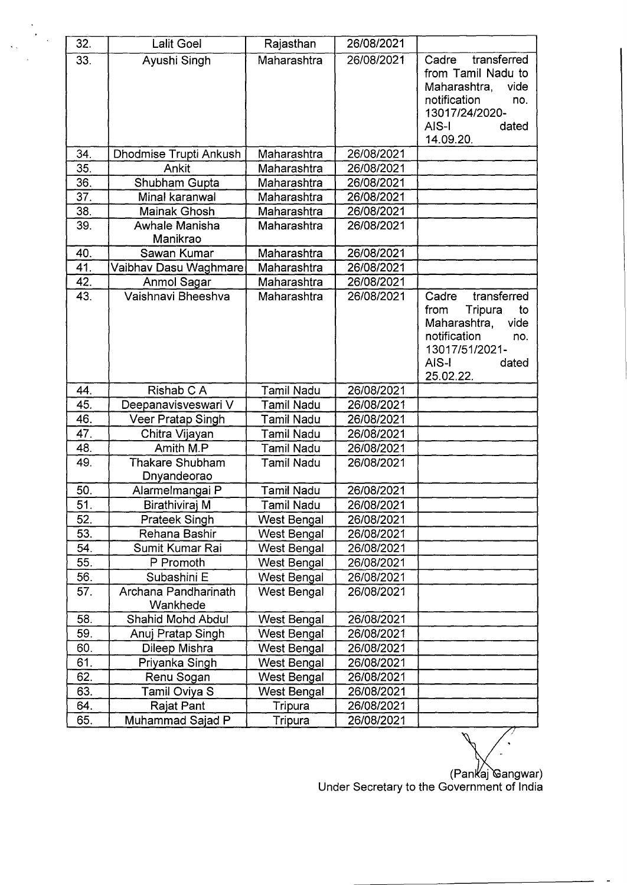| 32. | <b>Lalit Goel</b>                | Rajasthan          | 26/08/2021 |                                                                                                                                               |
|-----|----------------------------------|--------------------|------------|-----------------------------------------------------------------------------------------------------------------------------------------------|
| 33. | Ayushi Singh                     | Maharashtra        | 26/08/2021 | transferred<br>Cadre<br>from Tamil Nadu to<br>Maharashtra,<br>vide<br>notification<br>no.<br>13017/24/2020-<br>AIS-I<br>dated<br>14.09.20.    |
| 34. | Dhodmise Trupti Ankush           | Maharashtra        | 26/08/2021 |                                                                                                                                               |
| 35. | Ankit                            | Maharashtra        | 26/08/2021 |                                                                                                                                               |
| 36. | Shubham Gupta                    | Maharashtra        | 26/08/2021 |                                                                                                                                               |
| 37. | Minal karanwal                   | Maharashtra        | 26/08/2021 |                                                                                                                                               |
| 38. | Mainak Ghosh                     | Maharashtra        | 26/08/2021 |                                                                                                                                               |
| 39. | Awhale Manisha<br>Manikrao       | Maharashtra        | 26/08/2021 |                                                                                                                                               |
| 40. | Sawan Kumar                      | Maharashtra        | 26/08/2021 |                                                                                                                                               |
| 41. | Vaibhav Dasu Waghmare            | Maharashtra        | 26/08/2021 |                                                                                                                                               |
| 42. | Anmol Sagar                      | Maharashtra        | 26/08/2021 |                                                                                                                                               |
| 43. | Vaishnavi Bheeshya               | Maharashtra        | 26/08/2021 | transferred<br>Cadre<br>Tripura<br>to<br>from<br>Maharashtra,<br>vide<br>notification<br>no.<br>13017/51/2021-<br>AIS-I<br>dated<br>25.02.22. |
| 44. | Rishab C A                       | <b>Tamil Nadu</b>  | 26/08/2021 |                                                                                                                                               |
| 45. | Deepanavisveswari V              | Tamil Nadu         | 26/08/2021 |                                                                                                                                               |
| 46. | Veer Pratap Singh                | <b>Tamil Nadu</b>  | 26/08/2021 |                                                                                                                                               |
| 47. | Chitra Vijayan                   | <b>Tamil Nadu</b>  | 26/08/2021 |                                                                                                                                               |
| 48. | Amith M.P                        | <b>Tamil Nadu</b>  | 26/08/2021 |                                                                                                                                               |
| 49. | Thakare Shubham<br>Dnyandeorao   | <b>Tamil Nadu</b>  | 26/08/2021 |                                                                                                                                               |
| 50. | Alarmelmangai P                  | <b>Tamil Nadu</b>  | 26/08/2021 |                                                                                                                                               |
| 51. | Birathiviraj M                   | Tamil Nadu         | 26/08/2021 |                                                                                                                                               |
| 52. | <b>Prateek Singh</b>             | West Bengal        | 26/08/2021 |                                                                                                                                               |
| 53. | Rehana Bashir                    | West Bengal        | 26/08/2021 |                                                                                                                                               |
| 54. | Sumit Kumar Rai                  | West Bengal        | 26/08/2021 |                                                                                                                                               |
| 55. | P Promoth                        | <b>West Bengal</b> | 26/08/2021 |                                                                                                                                               |
| 56. | Subashini E                      | <b>West Bengal</b> | 26/08/2021 |                                                                                                                                               |
| 57. | Archana Pandharinath<br>Wankhede | <b>West Bengal</b> | 26/08/2021 |                                                                                                                                               |
| 58. | Shahid Mohd Abdul                | West Bengal        | 26/08/2021 |                                                                                                                                               |
| 59. | Anuj Pratap Singh                | West Bengal        | 26/08/2021 |                                                                                                                                               |
| 60. | Dileep Mishra                    | <b>West Bengal</b> | 26/08/2021 |                                                                                                                                               |
| 61. | Priyanka Singh                   | West Bengal        | 26/08/2021 |                                                                                                                                               |
| 62. | Renu Sogan                       | <b>West Bengal</b> | 26/08/2021 |                                                                                                                                               |
| 63. | Tamil Oviya S                    | <b>West Bengal</b> | 26/08/2021 |                                                                                                                                               |
| 64. | Rajat Pant                       | Tripura            | 26/08/2021 |                                                                                                                                               |
| 65. | Muhammad Sajad P                 | Tripura            | 26/08/2021 |                                                                                                                                               |
|     |                                  |                    |            |                                                                                                                                               |

 $\mathbb{R}^2$ 

 $\frac{1}{\sqrt{2}}$ 

(Pankaj Gangwar) Under Secretary to the Government of India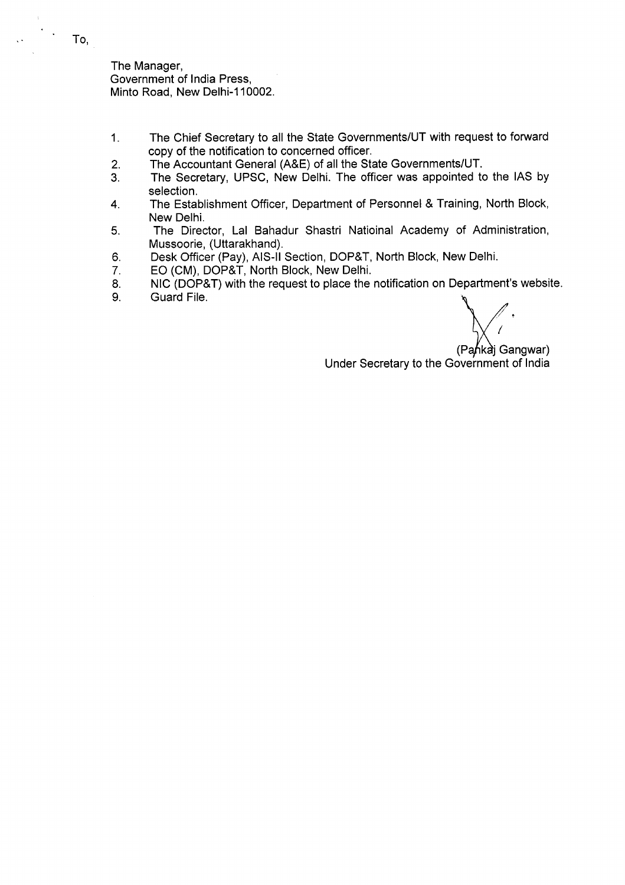The Manager, Government of India Press, Minto Road, New Delhi-110002.

- 1. The Chief Secretary to all the State Governments/UT with request to forward copy of the notification to concerned officer.
- 2. The Accountant General (A&E) of all the State Governments/UT.
- 3. The Secretary, UPSC, New Delhi. The officer was appointed to the lAS by selection.
- 4. The Establishment Officer, Department of Personnel & Training, North Block, New Delhi.
- 5. The Director, Lal Bahadur Shastri Natioinal Academy of Administration, Mussoorie, (Uttarakhand).
- 6. Desk Officer (Pay), AIS-II Section, DOP&T, North Block, New Delhi.<br>7. EO (CM), DOP&T, North Block, New Delhi.
- 7. EO (CM), DOP&T, North Block, New Delhi.
- 8. NIC (DOP&T) with the request to place the notification on Department's website.<br>9. Guard File.
- Guard File.

(Pankai Gangwar) Under Secretary to the Government of India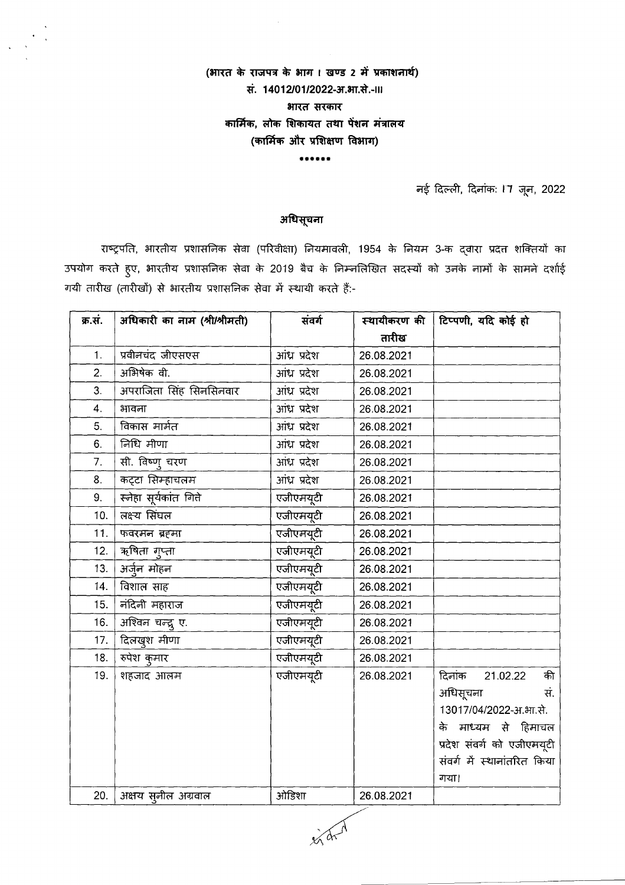## (भारत के राजपत्र के भाग। खण्ड 2 में प्रकाशनार्थ) सं. 14012/01/2022-आ.आ.से.-।।। भारत सरकार कार्मिक, लोक शिकायत तथा पेंशन मंत्रालय (कार्मिक और प्रशिक्षण विभाग)

\*\*\*\*\*\*

नई दिल्ली, दिनांक: 17 जून, 2022

## अधिसूचना

राष्ट्रपति, भारतीय प्रशासनिक सेवा (परिवीक्षा) नियमावली, 1954 के नियम 3-क द्वारा प्रदत्त शक्तियों का उपयोग करते हुए, भारतीय प्रशासनिक सेवा के 2019 बैच के निम्नलिखित सदस्यों को उनके नामों के सामने दर्शाई गयी तारीख (तारीखों) से भारतीय प्रशासनिक सेवा में स्थायी करते हैं:-

| क्र.सं. | अधिकारी का नाम (श्री/श्रीमती) | संवर्ग       |            | स्थायीकरण की   टिप्पणी, यदि कोई हो |
|---------|-------------------------------|--------------|------------|------------------------------------|
|         |                               |              | तारीख      |                                    |
| 1.      | प्रवीनचंद जीएसएस              | आंध्र प्रदेश | 26.08.2021 |                                    |
| 2.      | अभिषेक वी.                    | आंध्र प्रदेश | 26.08.2021 |                                    |
| 3.      | अपराजिता सिंह सिनसिनवार       | आंध्र प्रदेश | 26.08.2021 |                                    |
| 4.      | भावना                         | आंध्र प्रदेश | 26.08.2021 |                                    |
| 5.      | विकास मार्मत                  | आंध्र प्रदेश | 26.08.2021 |                                    |
| 6.      | निधि मीणा                     | आंध्र प्रदेश | 26.08.2021 |                                    |
| 7.      | सी. विष्णु चरण                | आंध्र प्रदेश | 26.08.2021 |                                    |
| 8.      | कट्टा सिम्हाचलम               | आंध्र प्रदेश | 26.08.2021 |                                    |
| 9.      | स्नेहा सूर्यकांत गिते         | एजीएमयूटी    | 26.08.2021 |                                    |
| 10.     | लक्ष्य सिंघल                  | एजीएमयूटी    | 26.08.2021 |                                    |
| 11.     | फवरमन ब्रहमा                  | एजीएमयूटी    | 26.08.2021 |                                    |
| 12.     | ऋषिता गुप्ता                  | एजीएमयूटी    | 26.08.2021 |                                    |
| 13.     | अर्जुन मोहन                   | एजीएमयूटी    | 26.08.2021 |                                    |
| 14.     | विशाल साह                     | एजीएमयूटी    | 26.08.2021 |                                    |
| 15.     | नंदिनी महाराज                 | एजीएमयूटी    | 26.08.2021 |                                    |
| 16.     | अश्विन चन्द्रु ए.             | एजीएमयूटी    | 26.08.2021 |                                    |
| 17.     | दिलखुश मीणा                   | एजीएमयूटी    | 26.08.2021 |                                    |
| 18.     | रुपेश कुमार                   | एजीएमयूटी    | 26.08.2021 |                                    |
| 19.     | शहजाद आलम                     | एजीएमयूटी    | 26.08.2021 | दिनांक 21.02.22 की                 |
|         |                               |              |            | अधिसूचना<br>स.                     |
|         |                               |              |            | 13017/04/2022-आ.आ.से.              |
|         |                               |              |            | के माध्यम से हिमाचल                |
|         |                               |              |            | प्रदेश संवर्ग को एजीएमयूटी         |
|         |                               |              |            | संवर्ग में स्थानांतरित किया        |
|         |                               |              |            | गया।                               |
| 20.     | अक्षय स्नील अग्रवाल           | ओड़िशा       | 26.08.2021 |                                    |

 $3041$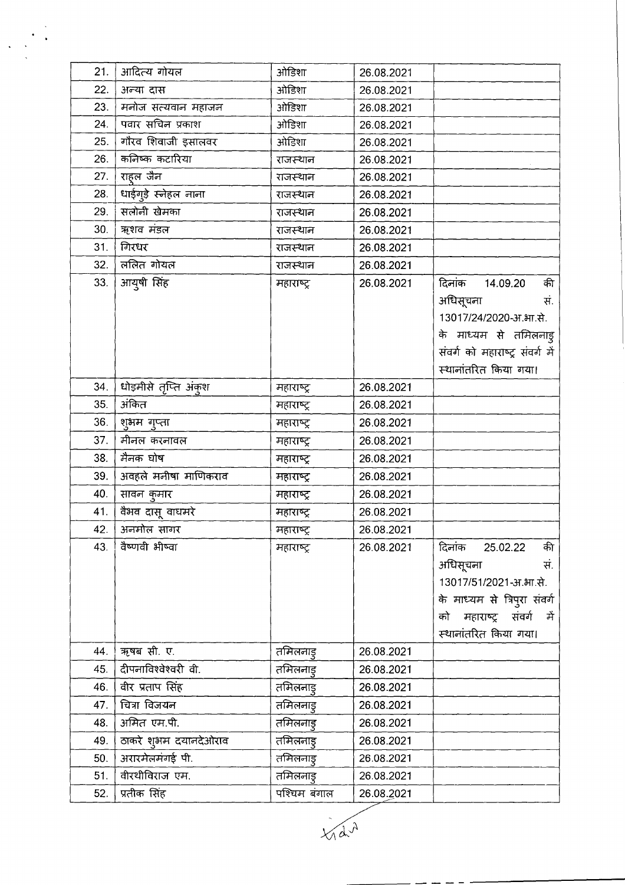| आदित्य गोयल ओडिशा  $21.$ 26.08.2021  $22.$ अन्या दास ओडिशा 26.08.2021 23. मनोज सत्यवान महाजन ओडिशा 26.08.2021 <u>पवार सचिन प्रकाश</u> ओड़िशा 24. 26.08.2021 25. गौरव शिवाजी इसालवर ओडिशा 26.08.2021 26. कनिष्क कटारिया राजस्थान 26.08.2021  $27.$ राहल जैन 26.08.2021 राजस्थान 28. धाईगूड़े स्नेहल नाना 26.08.2021 राजस्थान 29. सलोनी खेमका राजस्थान 26.08.2021 30. ऋशव मंडल 26.08.2021 राजस्थान गिरधर  $31.$ 26.08.2021 राजस्थान ललित गोयल 32. राजस्थान 26.08.2021 आयुषी सिंह  $33.$ दिनांक की 26.08.2021 14.09.20 महाराष्ट्र अधिसूचना सं. 13017/24/2020-आ.भा.से. के माध्यम से तमिलनाड़ संवर्ग को महाराष्ट्र संवर्ग में स्थानांतरित किया गया। धोड़मीसे तृप्ति अंकुश 34. महाराष्ट्र 26.08.2021 अंकित 35. महाराष्ट्र 26.08.2021 36. शुभम गुप्ता 26.08.2021 महाराष्ट्र 37. मीनल करनावल 26.08.2021 महाराष्ट्र 38. मैनक घोष 26.08.2021 महाराष्ट्र 39. अवहले मनीषा माणिकराव 26.08.2021 महाराष्ट्र 40. सावन कुमार महाराष्ट्र 26.08.2021 41. वैभव दासू वाघमरे 26.08.2021 महाराष्ट्र 42. अनमोल सागर 26.08.2021 महाराष्ट्र वैष्णवी भीष्वा 43. दिनांक 25.02.22 की महाराष्ट्र 26.08.2021 अधिसूचना सं. 13017/51/2021-आ.भा.से. के माध्यम से त्रिपुरा संवर्ग को महाराष्ट्र संवर्ग में स्थानांतरित किया गया। | ऋषब सी. ए. 44. तमिलनाड् 26.08.2021 दीपनाविश्वेश्वरी वी. तमिलनाडु 45. 26.08.2021 | वीर प्रताप सिंह 46. तमिलनाडु 26.08.2021 चित्रा विजयन तमिलनाडू 47. 26.08.2021 अमित एम.पी. 48. तमिलनाडु 26.08.2021 ठाकरे शुभम दयानदेओराव तमिलनाड् 49. 26.08.2021 अरारमेलमंगई पी. 50. तमिलनाड् 26.08.2021 वीरथीविराज एम. 51. तमिलनाडू 26.08.2021 प्रतीक सिंह पश्चिम बंगाल  $52.$ 26.08.2021

 $\sqrt{d}^{\lambda}$